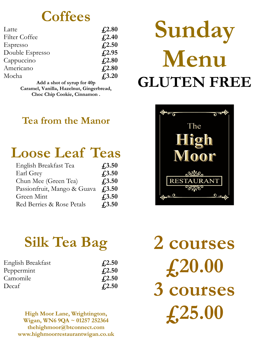### **Coffees**

| Latte           | f <sub>2.80</sub> |
|-----------------|-------------------|
| Filter Coffee   | $f_{2.40}$        |
| Espresso        | $f_{1,2.50}$      |
| Double Espresso | $f_{1,2.95}$      |
| Cappuccino      | $f_{1,2.80}$      |
| Americano       | $f_{2.80}$        |
| Mocha           | $f_{1,3.20}$      |

**Add a shot of syrup for 40p Caramel, Vanilla, Hazelnut, Gingerbread, Choc Chip Cookie, Cinnamon .** 

### **Tea from the Manor**

### **Loose Leaf Teas**

| English Breakfast Tea       | $f_{1,3.50}$ |
|-----------------------------|--------------|
| Earl Grey                   | $f_{1,3.50}$ |
| Chun Mee (Green Tea)        | $f_{1,3.50}$ |
| Passionfruit, Mango & Guava | $f_{1,3.50}$ |
| Green Mint                  | $f_{1,3.50}$ |
| Red Berries & Rose Petals   | $f_{1,3.50}$ |

# **Sunday Menu GLUTEN FREE**



## **Silk Tea Bag**

| English Breakfast | $\sqrt{4.2.50}$           |
|-------------------|---------------------------|
| Peppermint        | $\textcolor{blue}{f2.50}$ |
| Camomile          | f(2.50)                   |
| Decaf             | $\sqrt{4.2.50}$           |

**High Moor Lane, Wrightington, Wigan, WN6 9QA ~ 01257 252364 thehighmoor@btconnect.com www.highmoorrestaurantwigan.co.uk**